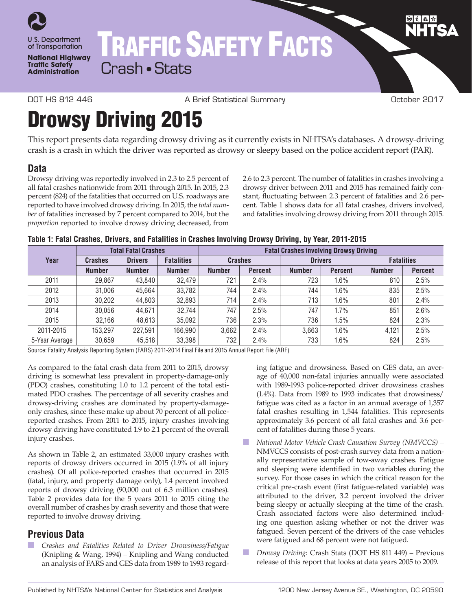

**National Highway Traffic Safety Administration** 

# TRAFFIC SAFETY FACTS

Crash • Stats

DOT HS 812 446 A Brief Statistical Summary October 2017

## Drowsy Driving 2015

This report presents data regarding drowsy driving as it currently exists in NHTSA's databases. A drowsy-driving crash is a crash in which the driver was reported as drowsy or sleepy based on the police accident report (PAR).

#### **Data**

Drowsy driving was reportedly involved in 2.3 to 2.5 percent of all fatal crashes nationwide from 2011 through 2015. In 2015, 2.3 percent (824) of the fatalities that occurred on U.S. roadways are reported to have involved drowsy driving. In 2015, the *total number* of fatalities increased by 7 percent compared to 2014, but the *proportion* reported to involve drowsy driving decreased, from 2.6 to 2.3 percent. The number of fatalities in crashes involving a drowsy driver between 2011 and 2015 has remained fairly constant, fluctuating between 2.3 percent of fatalities and 2.6 percent. Table 1 shows data for all fatal crashes, drivers involved, and fatalities involving drowsy driving from 2011 through 2015.

| Table 1: Fatal Crashes, Drivers, and Fatalities in Crashes Involving Drowsy Driving, by Year, 2011-2015 |  |  |  |  |
|---------------------------------------------------------------------------------------------------------|--|--|--|--|
|                                                                                                         |  |  |  |  |

|                | <b>Total Fatal Crashes</b> |                |                   | <b>Fatal Crashes Involving Drowsy Driving</b> |                |                |                |                   |                |
|----------------|----------------------------|----------------|-------------------|-----------------------------------------------|----------------|----------------|----------------|-------------------|----------------|
| Year           | <b>Crashes</b>             | <b>Drivers</b> | <b>Fatalities</b> |                                               | <b>Crashes</b> | <b>Drivers</b> |                | <b>Fatalities</b> |                |
|                | <b>Number</b>              | <b>Number</b>  | <b>Number</b>     | <b>Number</b>                                 | <b>Percent</b> | <b>Number</b>  | <b>Percent</b> | <b>Number</b>     | <b>Percent</b> |
| 2011           | 29,867                     | 43.840         | 32.479            | 721                                           | 2.4%           | 723            | 1.6%           | 810               | 2.5%           |
| 2012           | 31,006                     | 45.664         | 33,782            | 744                                           | 2.4%           | 744            | 1.6%           | 835               | 2.5%           |
| 2013           | 30,202                     | 44.803         | 32,893            | 714                                           | 2.4%           | 713            | 1.6%           | 801               | 2.4%           |
| 2014           | 30.056                     | 44.671         | 32,744            | 747                                           | 2.5%           | 747            | 1.7%           | 851               | 2.6%           |
| 2015           | 32,166                     | 48.613         | 35,092            | 736                                           | 2.3%           | 736            | 1.5%           | 824               | 2.3%           |
| 2011-2015      | 153.297                    | 227.591        | 166.990           | 3.662                                         | 2.4%           | 3.663          | 1.6%           | 4.121             | 2.5%           |
| 5-Year Average | 30,659                     | 45,518         | 33,398            | 732                                           | 2.4%           | 733            | 1.6%           | 824               | 2.5%           |

Source: Fatality Analysis Reporting System (FARS) 2011-2014 Final File and 2015 Annual Report File (ARF)

As compared to the fatal crash data from 2011 to 2015, drowsy driving is somewhat less prevalent in property-damage-only (PDO) crashes, constituting 1.0 to 1.2 percent of the total estimated PDO crashes. The percentage of all severity crashes and drowsy-driving crashes are dominated by property-damageonly crashes, since these make up about 70 percent of all policereported crashes. From 2011 to 2015, injury crashes involving drowsy driving have constituted 1.9 to 2.1 percent of the overall injury crashes.

As shown in Table 2, an estimated 33,000 injury crashes with reports of drowsy drivers occurred in 2015 (1.9% of all injury crashes). Of all police-reported crashes that occurred in 2015 (fatal, injury, and property damage only), 1.4 percent involved reports of drowsy driving (90,000 out of 6.3 million crashes). Table 2 provides data for the 5 years 2011 to 2015 citing the overall number of crashes by crash severity and those that were reported to involve drowsy driving.

#### **Previous Data**

n *Crashes and Fatalities Related to Driver Drowsiness/Fatigue* (Knipling & Wang, 1994) – Knipling and Wang conducted an analysis of FARS and GES data from 1989 to 1993 regarding fatigue and drowsiness. Based on GES data, an average of 40,000 non-fatal injuries annually were associated with 1989-1993 police-reported driver drowsiness crashes (1.4%). Data from 1989 to 1993 indicates that drowsiness/ fatigue was cited as a factor in an annual average of 1,357 fatal crashes resulting in 1,544 fatalities. This represents approximately 3.6 percent of all fatal crashes and 3.6 percent of fatalities during those 5 years.

- n *National Motor Vehicle Crash Causation Survey (NMVCCS)*  NMVCCS consists of post-crash survey data from a nationally representative sample of tow-away crashes. Fatigue and sleeping were identified in two variables during the survey. For those cases in which the critical reason for the critical pre-crash event (first fatigue-related variable) was attributed to the driver, 3.2 percent involved the driver being sleepy or actually sleeping at the time of the crash. Crash associated factors were also determined including one question asking whether or not the driver was fatigued. Seven percent of the drivers of the case vehicles were fatigued and 68 percent were not fatigued.
- n *Drowsy Driving*: Crash Stats (DOT HS 811 449) Previous release of this report that looks at data years 2005 to 2009.